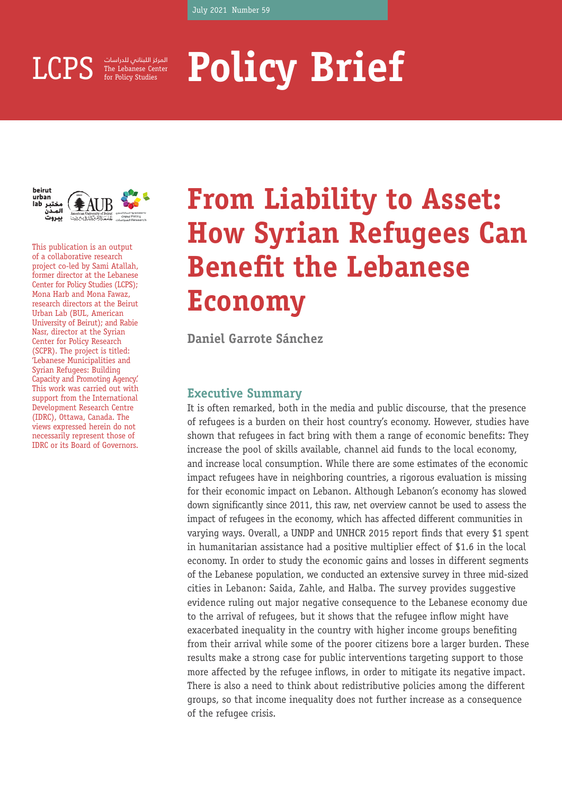for Policy Studies المركز اللبناني للدراسات

# LCPS **Represe Center** Policy Brief **Brief**





This publication is an output of a collaborative research project co-led by Sami Atallah, former director at the Lebanese Center for Policy Studies (LCPS); Mona Harb and Mona Fawaz, research directors at the Beirut Urban Lab (BUL, American University of Beirut); and Rabie Nasr, director at the Syrian Center for Policy Research (SCPR). The project is titled: 'Lebanese Municipalities and Syrian Refugees: Building Capacity and Promoting Agency.' This work was carried out with support from the International Development Research Centre (IDRC), Ottawa, Canada. The views expressed herein do not necessarily represent those of IDRC or its Board of Governors.

# **From Liability to Asset: How Syrian Refugees Can Benefit the Lebanese Economy**

**Daniel Garrote Sánchez**

# **Executive Summary**

It is often remarked, both in the media and public discourse, that the presence of refugees is a burden on their host country's economy. However, studies have shown that refugees in fact bring with them a range of economic benefits: They increase the pool of skills available, channel aid funds to the local economy, and increase local consumption. While there are some estimates of the economic impact refugees have in neighboring countries, a rigorous evaluation is missing for their economic impact on Lebanon. Although Lebanon's economy has slowed down significantly since 2011, this raw, net overview cannot be used to assess the impact of refugees in the economy, which has affected different communities in varying ways. Overall, a UNDP and UNHCR 2015 report finds that every \$1 spent in humanitarian assistance had a positive multiplier effect of \$1.6 in the local economy. In order to study the economic gains and losses in different segments of the Lebanese population, we conducted an extensive survey in three mid-sized cities in Lebanon: Saida, Zahle, and Halba. The survey provides suggestive evidence ruling out major negative consequence to the Lebanese economy due to the arrival of refugees, but it shows that the refugee inflow might have exacerbated inequality in the country with higher income groups benefiting from their arrival while some of the poorer citizens bore a larger burden. These results make a strong case for public interventions targeting support to those more affected by the refugee inflows, in order to mitigate its negative impact. There is also a need to think about redistributive policies among the different groups, so that income inequality does not further increase as a consequence of the refugee crisis.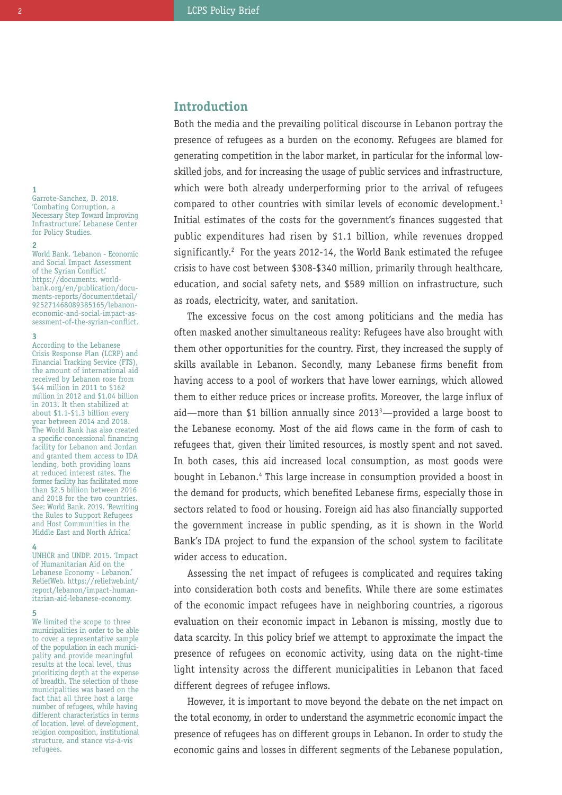# **Introduction**

Both the media and the prevailing political discourse in Lebanon portray the presence of refugees as a burden on the economy. Refugees are blamed for generating competition in the labor market, in particular for the informal lowskilled jobs, and for increasing the usage of public services and infrastructure, which were both already underperforming prior to the arrival of refugees compared to other countries with similar levels of economic development. 1 Initial estimates of the costs for the government's finances suggested that public expenditures had risen by \$1.1 billion, while revenues dropped significantly. <sup>2</sup> For the years 2012-14, the World Bank estimated the refugee crisis to have cost between \$308-\$340 million, primarily through healthcare, education, and social safety nets, and \$589 million on infrastructure, such as roads, electricity, water, and sanitation.

The excessive focus on the cost among politicians and the media has often masked another simultaneous reality: Refugees have also brought with them other opportunities for the country. First, they increased the supply of skills available in Lebanon. Secondly, many Lebanese firms benefit from having access to a pool of workers that have lower earnings, which allowed them to either reduce prices or increase profits. Moreover, the large influx of aid—more than \$1 billion annually since 2013<sup>3</sup>—provided a large boost to the Lebanese economy. Most of the aid flows came in the form of cash to refugees that, given their limited resources, is mostly spent and not saved. In both cases, this aid increased local consumption, as most goods were bought in Lebanon. <sup>4</sup> This large increase in consumption provided a boost in the demand for products, which benefited Lebanese firms, especially those in sectors related to food or housing. Foreign aid has also financially supported the government increase in public spending, as it is shown in the World Bank's IDA project to fund the expansion of the school system to facilitate wider access to education.

Assessing the net impact of refugees is complicated and requires taking into consideration both costs and benefits. While there are some estimates of the economic impact refugees have in neighboring countries, a rigorous evaluation on their economic impact in Lebanon is missing, mostly due to data scarcity. In this policy brief we attempt to approximate the impact the presence of refugees on economic activity, using data on the night-time light intensity across the different municipalities in Lebanon that faced different degrees of refugee inflows.

However, it is important to move beyond the debate on the net impact on the total economy, in order to understand the asymmetric economic impact the presence of refugees has on different groups in Lebanon. In order to study the economic gains and losses in different segments of the Lebanese population,

**1** Garrote-Sanchez, D. 2018. 'Combating Corruption, a Necessary Step Toward Improving Infrastructure.' Lebanese Center for Policy Studies.

**2** World Bank. 'Lebanon - Economic and Social Impact Assessment of the Syrian Conflict.' https://documents. worldbank.org/en/publication/documents-reports/documentdetail/ 925271468089385165/lebanoneconomic-and-social-impact-assessment-of-the-syrian-conflict.

#### **3**

According to the Lebanese Crisis Response Plan (LCRP) and Financial Tracking Service (FTS), the amount of international aid received by Lebanon rose from \$44 million in 2011 to \$162 million in 2012 and \$1.04 billion in 2013. It then stabilized at about \$1.1-\$1.3 billion every year between 2014 and 2018. The World Bank has also created a specific concessional financing facility for Lebanon and Jordan and granted them access to IDA lending, both providing loans at reduced interest rates. The former facility has facilitated more than \$2.5 billion between 2016 and 2018 for the two countries. See: World Bank. 2019. 'Rewriting the Rules to Support Refugees and Host Communities in the Middle East and North Africa.'

#### **4**

UNHCR and UNDP. 2015. 'Impact of Humanitarian Aid on the Lebanese Economy - Lebanon.' ReliefWeb. https://reliefweb.int/ report/lebanon/impact-humanitarian-aid-lebanese-economy.

#### **5**

We limited the scope to three municipalities in order to be able to cover a representative sample of the population in each municipality and provide meaningful results at the local level, thus prioritizing depth at the expense of breadth. The selection of those municipalities was based on the fact that all three host a large number of refugees, while having different characteristics in terms of location, level of development, religion composition, institutional structure, and stance vis-à-vis refugees.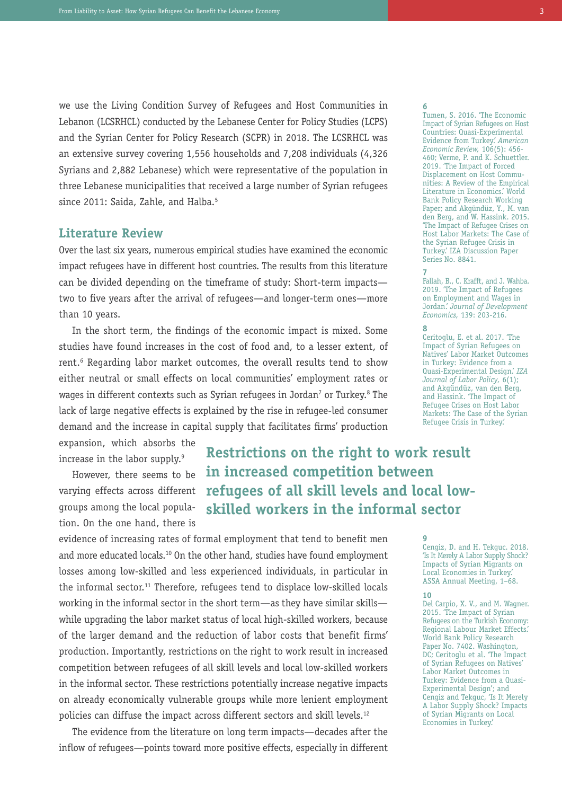we use the Living Condition Survey of Refugees and Host Communities in Lebanon (LCSRHCL) conducted by the Lebanese Center for Policy Studies (LCPS) and the Syrian Center for Policy Research (SCPR) in 2018. The LCSRHCL was an extensive survey covering 1,556 households and 7,208 individuals (4,326 Syrians and 2,882 Lebanese) which were representative of the population in three Lebanese municipalities that received a large number of Syrian refugees since 2011: Saida, Zahle, and Halba. 5

# **Literature Review**

Over the last six years, numerous empirical studies have examined the economic impact refugees have in different host countries. The results from this literature can be divided depending on the timeframe of study: Short-term impacts two to five years after the arrival of refugees—and longer-term ones—more than 10 years.

In the short term, the findings of the economic impact is mixed. Some studies have found increases in the cost of food and, to a lesser extent, of rent. <sup>6</sup> Regarding labor market outcomes, the overall results tend to show either neutral or small effects on local communities' employment rates or wages in different contexts such as Syrian refugees in Jordan<sup>7</sup> or Turkey. $^8$  The lack of large negative effects is explained by the rise in refugee-led consumer demand and the increase in capital supply that facilitates firms' production

expansion, which absorbs the increase in the labor supply. 9

However, there seems to be varying effects across different groups among the local population. On the one hand, there is

**Restrictions on the right to work result in increased competition between refugees of all skill levels and local lowskilled workers in the informal sector**

evidence of increasing rates of formal employment that tend to benefit men and more educated locals.<sup>10</sup> On the other hand, studies have found employment losses among low-skilled and less experienced individuals, in particular in the informal sector.<sup>11</sup> Therefore, refugees tend to displace low-skilled locals working in the informal sector in the short term—as they have similar skills while upgrading the labor market status of local high-skilled workers, because of the larger demand and the reduction of labor costs that benefit firms' production. Importantly, restrictions on the right to work result in increased competition between refugees of all skill levels and local low-skilled workers in the informal sector. These restrictions potentially increase negative impacts on already economically vulnerable groups while more lenient employment policies can diffuse the impact across different sectors and skill levels.<sup>12</sup>

The evidence from the literature on long term impacts—decades after the inflow of refugees—points toward more positive effects, especially in different

**6** Tumen, S. 2016. 'The Economic Impact of Syrian Refugees on Host Countries: Quasi-Experimental Evidence from Turkey.' *American Economic Review,* 106(5): 456- 460; Verme, P. and K. Schuettler. 2019. 'The Impact of Forced Displacement on Host Communities: A Review of the Empirical Literature in Economics.' World Bank Policy Research Working Paper; and Akgündüz, Y., M. van den Berg, and W. Hassink. 2015. 'The Impact of Refugee Crises on Host Labor Markets: The Case of the Syrian Refugee Crisis in Turkey.' IZA Discussion Paper Series No. 8841.

#### **7**

Fallah, B., C. Krafft, and J. Wahba. 2019. 'The Impact of Refugees on Employment and Wages in Jordan.' *Journal of Development Economics,* 139: 203-216.

**8** Ceritoglu, E. et al. 2017. 'The Impact of Syrian Refugees on Natives' Labor Market Outcomes in Turkey: Evidence from a Quasi-Experimental Design.' *IZA Journal of Labor Policy,* 6(1); and Akgündüz, van den Berg, and Hassink. 'The Impact of Refugee Crises on Host Labor Markets: The Case of the Syrian Refugee Crisis in Turkey.'

**9** Cengiz, D. and H. Tekguc. 2018. 'Is It Merely A Labor Supply Shock? Impacts of Syrian Migrants on Local Economies in Turkey.' ASSA Annual Meeting, 1–68.

#### **10**

Del Carpio, X. V., and M. Wagner. 2015. 'The Impact of Syrian Refugees on the Turkish Economy: Regional Labour Market Effects.' World Bank Policy Research Paper No. 7402. Washington, DC; Ceritoglu et al. 'The Impact of Syrian Refugees on Natives' Labor Market Outcomes in Turkey: Evidence from a Quasi-Experimental Design'; and Cengiz and Tekguc, 'Is It Merely A Labor Supply Shock? Impacts of Syrian Migrants on Local Economies in Turkey.'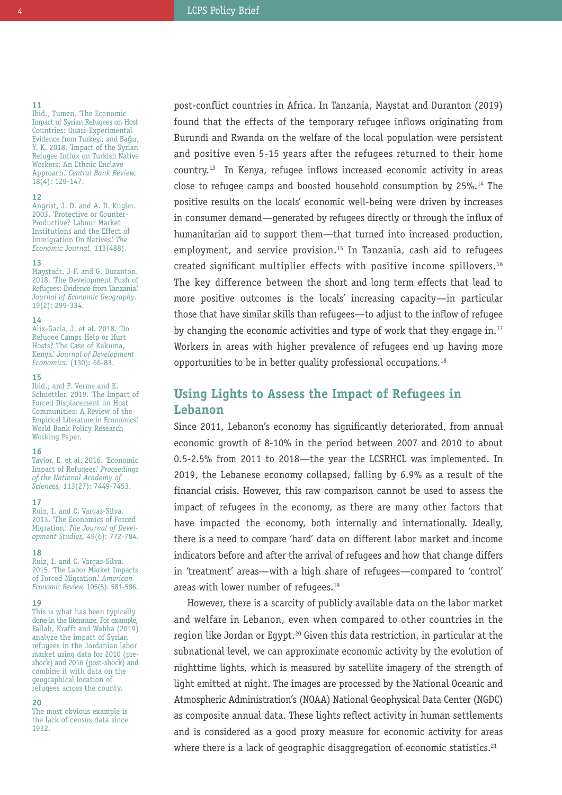#### **11**

Ibid., Tumen. 'The Economic Impact of Syrian Refugees on Host Countries: Quasi-Experimental Evidence from Turkey.'; and Bağır, Y. K. 2018. 'Impact of the Syrian Refugee Influx on Turkish Native Workers: An Ethnic Enclave Approach.' *Central Bank Review,*  $18(4): 129-147.$ 

#### **12**

Angrist, J. D. and A. D. Kugler. 2003. 'Protective or Counter-Productive? Labour Market Institutions and the Effect of Immigration On Natives.' *The Economic Journal,* 113(488).

#### **13**

Maystadt, J-F. and G. Duranton. 2018. 'The Development Push of Refugees: Evidence from Tanzania.' *Journal of Economic Geography,* 19(2): 299-334.

#### **14**

Alix-Gacia, J. et al. 2018. 'Do Refugee Camps Help or Hurt Hosts? The Case of Kakuma, Kenya.' *Journal of Development Economics,* (130): 66-83.

#### **15**

Ibid.; and P. Verme and K. Schuettler. 2019. 'The Impact of Forced Displacement on Host Communities: A Review of the Empirical Literature in Economics.' World Bank Policy Research Working Paper.

#### **16**

Taylor, E. et al. 2016. 'Economic Impact of Refugees.' *Proceedings of the National Academy of Sciences,* 113(27): 7449-7453.

#### **17**

Ruiz, I. and C. Vargas-Silva. 2013. 'The Economics of Forced Migration.' *The Journal of Development Studies,* 49(6): 772-784.

#### **18**

Ruiz, I. and C. Vargas-Silva. 2015. 'The Labor Market Impacts of Forced Migration.' *American Economic Review,* 105(5): 581-586.

#### **19**

This is what has been typically done in the literature. For example, Fallah, Krafft and Wahba (2019) analyze the impact of Syrian refugees in the Jordanian labor market using data for 2010 (preshock) and 2016 (post-shock) and combine it with data on the geographical location of refugees across the county.

#### **20**

The most obvious example is the lack of census data since 1932.

post-conflict countries in Africa. In Tanzania, Maystat and Duranton (2019) found that the effects of the temporary refugee inflows originating from Burundi and Rwanda on the welfare of the local population were persistent and positive even 5-15 years after the refugees returned to their home country. <sup>13</sup> In Kenya, refugee inflows increased economic activity in areas close to refugee camps and boosted household consumption by 25%. <sup>14</sup> The positive results on the locals' economic well-being were driven by increases in consumer demand—generated by refugees directly or through the influx of humanitarian aid to support them—that turned into increased production, employment, and service provision. <sup>15</sup> In Tanzania, cash aid to refugees created significant multiplier effects with positive income spillovers.<sup>16</sup> The key difference between the short and long term effects that lead to more positive outcomes is the locals' increasing capacity—in particular those that have similar skills than refugees—to adjust to the inflow of refugee by changing the economic activities and type of work that they engage in.<sup>17</sup> Workers in areas with higher prevalence of refugees end up having more opportunities to be in better quality professional occupations. 18

# **Using Lights to Assess the Impact of Refugees in Lebanon**

Since 2011, Lebanon's economy has significantly deteriorated, from annual economic growth of 8-10% in the period between 2007 and 2010 to about 0.5-2.5% from 2011 to 2018—the year the LCSRHCL was implemented. In 2019, the Lebanese economy collapsed, falling by 6.9% as a result of the financial crisis. However, this raw comparison cannot be used to assess the impact of refugees in the economy, as there are many other factors that have impacted the economy, both internally and internationally. Ideally, there is a need to compare 'hard' data on different labor market and income indicators before and after the arrival of refugees and how that change differs in 'treatment' areas—with a high share of refugees—compared to 'control' areas with lower number of refugees. 19

However, there is a scarcity of publicly available data on the labor market and welfare in Lebanon, even when compared to other countries in the region like Jordan or Egypt.<sup>20</sup> Given this data restriction, in particular at the subnational level, we can approximate economic activity by the evolution of nighttime lights, which is measured by satellite imagery of the strength of light emitted at night. The images are processed by the National Oceanic and Atmospheric Administration's (NOAA) National Geophysical Data Center (NGDC) as composite annual data. These lights reflect activity in human settlements and is considered as a good proxy measure for economic activity for areas where there is a lack of geographic disaggregation of economic statistics.<sup>21</sup>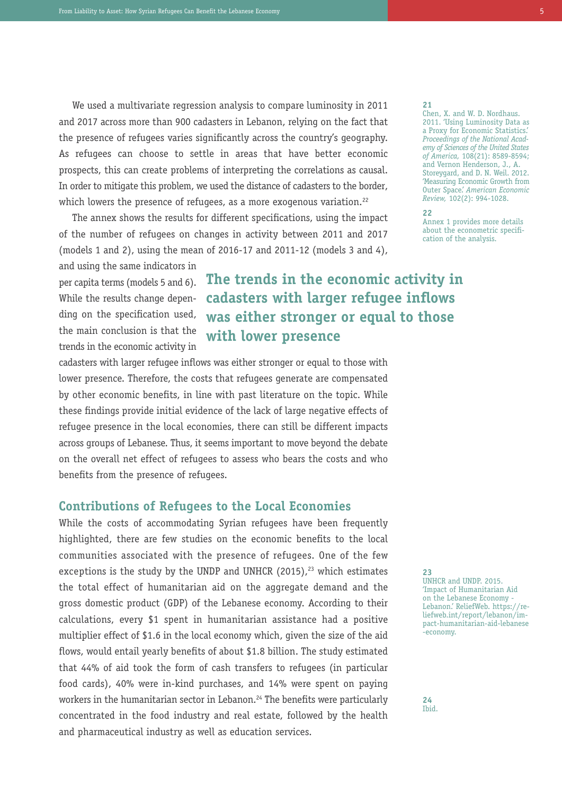We used a multivariate regression analysis to compare luminosity in 2011 and 2017 across more than 900 cadasters in Lebanon, relying on the fact that the presence of refugees varies significantly across the country's geography. As refugees can choose to settle in areas that have better economic prospects, this can create problems of interpreting the correlations as causal. In order to mitigate this problem, we used the distance of cadasters to the border, which lowers the presence of refugees, as a more exogenous variation.<sup>22</sup>

The annex shows the results for different specifications, using the impact of the number of refugees on changes in activity between 2011 and 2017 (models 1 and 2), using the mean of 2016-17 and 2011-12 (models 3 and 4),

and using the same indicators in per capita terms (models 5 and 6). While the results change depending on the specification used, the main conclusion is that the trends in the economic activity in

# **The trends in the economic activity in cadasters with larger refugee inflows was either stronger or equal to those with lower presence**

cadasters with larger refugee inflows was either stronger or equal to those with lower presence. Therefore, the costs that refugees generate are compensated by other economic benefits, in line with past literature on the topic. While these findings provide initial evidence of the lack of large negative effects of refugee presence in the local economies, there can still be different impacts across groups of Lebanese. Thus, it seems important to move beyond the debate on the overall net effect of refugees to assess who bears the costs and who benefits from the presence of refugees.

## **Contributions of Refugees to the Local Economies**

While the costs of accommodating Syrian refugees have been frequently highlighted, there are few studies on the economic benefits to the local communities associated with the presence of refugees. One of the few exceptions is the study by the UNDP and UNHCR (2015),<sup>23</sup> which estimates the total effect of humanitarian aid on the aggregate demand and the gross domestic product (GDP) of the Lebanese economy. According to their calculations, every \$1 spent in humanitarian assistance had a positive multiplier effect of \$1.6 in the local economy which, given the size of the aid flows, would entail yearly benefits of about \$1.8 billion. The study estimated that 44% of aid took the form of cash transfers to refugees (in particular food cards), 40% were in-kind purchases, and 14% were spent on paying workers in the humanitarian sector in Lebanon. <sup>24</sup> The benefits were particularly concentrated in the food industry and real estate, followed by the health and pharmaceutical industry as well as education services.

#### **21**

Chen, X. and W. D. Nordhaus. 2011. 'Using Luminosity Data as a Proxy for Economic Statistics.' *Proceedings of the National Academy of Sciences of the United States of America,* 108(21): 8589-8594; and Vernon Henderson, J., A. Storeygard, and D. N. Weil. 2012. 'Measuring Economic Growth from Outer Space.' *American Economic Review,* 102(2): 994-1028.

#### **22**

Annex 1 provides more details about the econometric specification of the analysis.

**23**

UNHCR and UNDP. 2015. 'Impact of Humanitarian Aid on the Lebanese Economy Lebanon.' ReliefWeb. https://reliefweb.int/report/lebanon/impact-humanitarian-aid-lebanese -economy.

**24** Ibid.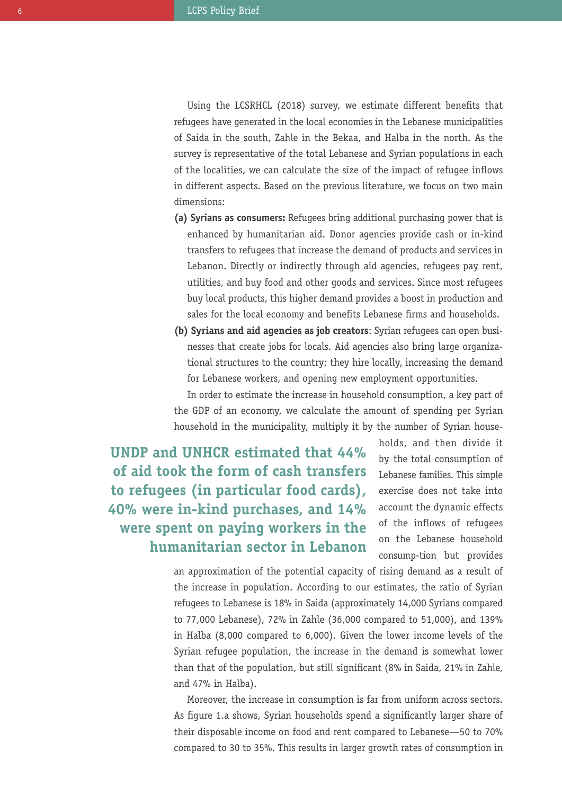Using the LCSRHCL (2018) survey, we estimate different benefits that refugees have generated in the local economies in the Lebanese municipalities of Saida in the south, Zahle in the Bekaa, and Halba in the north. As the survey is representative of the total Lebanese and Syrian populations in each of the localities, we can calculate the size of the impact of refugee inflows in different aspects. Based on the previous literature, we focus on two main dimensions:

- **(a) Syrians as consumers:** Refugees bring additional purchasing power that is enhanced by humanitarian aid. Donor agencies provide cash or in-kind transfers to refugees that increase the demand of products and services in Lebanon. Directly or indirectly through aid agencies, refugees pay rent, utilities, and buy food and other goods and services. Since most refugees buy local products, this higher demand provides a boost in production and sales for the local economy and benefits Lebanese firms and households.
- **(b) Syrians and aid agencies as job creators**: Syrian refugees can open businesses that create jobs for locals. Aid agencies also bring large organizational structures to the country; they hire locally, increasing the demand for Lebanese workers, and opening new employment opportunities.

In order to estimate the increase in household consumption, a key part of the GDP of an economy, we calculate the amount of spending per Syrian household in the municipality, multiply it by the number of Syrian house-

**UNDP and UNHCR estimated that 44% of aid took the form of cash transfers to refugees (in particular food cards), 40% were in-kind purchases, and 14% were spent on paying workers in the humanitarian sector in Lebanon** holds, and then divide it by the total consumption of Lebanese families. This simple exercise does not take into account the dynamic effects of the inflows of refugees on the Lebanese household consump-tion but provides

an approximation of the potential capacity of rising demand as a result of the increase in population. According to our estimates, the ratio of Syrian refugees to Lebanese is 18% in Saida (approximately 14,000 Syrians compared to 77,000 Lebanese), 72% in Zahle (36,000 compared to 51,000), and 139% in Halba (8,000 compared to 6,000). Given the lower income levels of the Syrian refugee population, the increase in the demand is somewhat lower than that of the population, but still significant (8% in Saida, 21% in Zahle, and 47% in Halba).

Moreover, the increase in consumption is far from uniform across sectors. As figure 1.a shows, Syrian households spend a significantly larger share of their disposable income on food and rent compared to Lebanese—50 to 70% compared to 30 to 35%. This results in larger growth rates of consumption in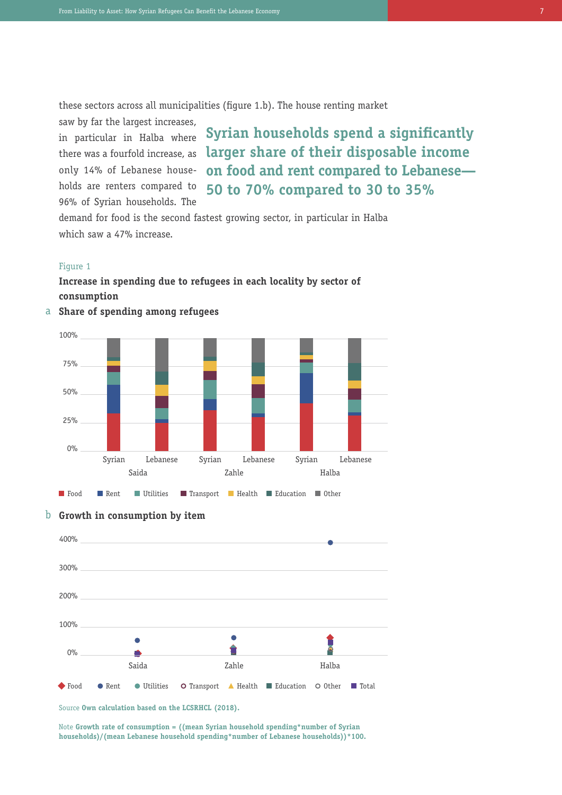these sectors across all municipalities (figure 1.b). The house renting market

saw by far the largest increases, in particular in Halba where there was a fourfold increase, as only 14% of Lebanese households are renters compared to 96% of Syrian households. The

**Syrian households spend a significantly larger share of their disposable income on food and rent compared to Lebanese— 50 to 70% compared to 30 to 35%**

demand for food is the second fastest growing sector, in particular in Halba which saw a 47% increase.

#### Figure 1

# **Increase in spending due to refugees in each locality by sector of consumption**









Source **Own calculation based on the LCSRHCL (2018).**

Note **Growth rate of consumption = ((mean Syrian household spending\*number of Syrian households)/(mean Lebanese household spending\*number of Lebanese households))\*100.**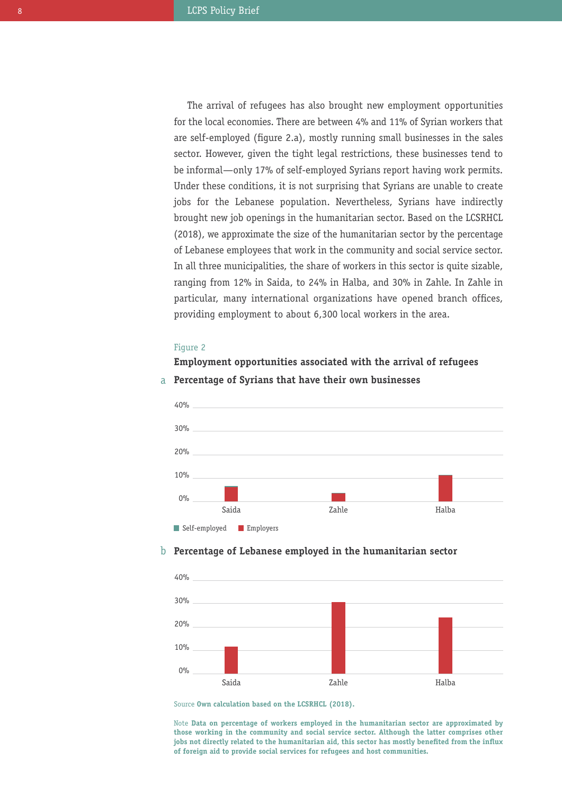The arrival of refugees has also brought new employment opportunities for the local economies. There are between 4% and 11% of Syrian workers that are self-employed (figure 2.a), mostly running small businesses in the sales sector. However, given the tight legal restrictions, these businesses tend to be informal—only 17% of self-employed Syrians report having work permits. Under these conditions, it is not surprising that Syrians are unable to create jobs for the Lebanese population. Nevertheless, Syrians have indirectly brought new job openings in the humanitarian sector. Based on the LCSRHCL (2018), we approximate the size of the humanitarian sector by the percentage of Lebanese employees that work in the community and social service sector. In all three municipalities, the share of workers in this sector is quite sizable, ranging from 12% in Saida, to 24% in Halba, and 30% in Zahle. In Zahle in particular, many international organizations have opened branch offices, providing employment to about 6,300 local workers in the area.

#### Figure 2

## **Employment opportunities associated with the arrival of refugees**



## a **Percentage of Syrians that have their own businesses**

# b **Percentage of Lebanese employed in the humanitarian sector**



Source **Own calculation based on the LCSRHCL (2018).**

Note **Data on percentage of workers employed in the humanitarian sector are approximated by those working in the community and social service sector. Although the latter comprises other jobs not directly related to the humanitarian aid, this sector has mostly benefited from the influx of foreign aid to provide social services for refugees and host communities.**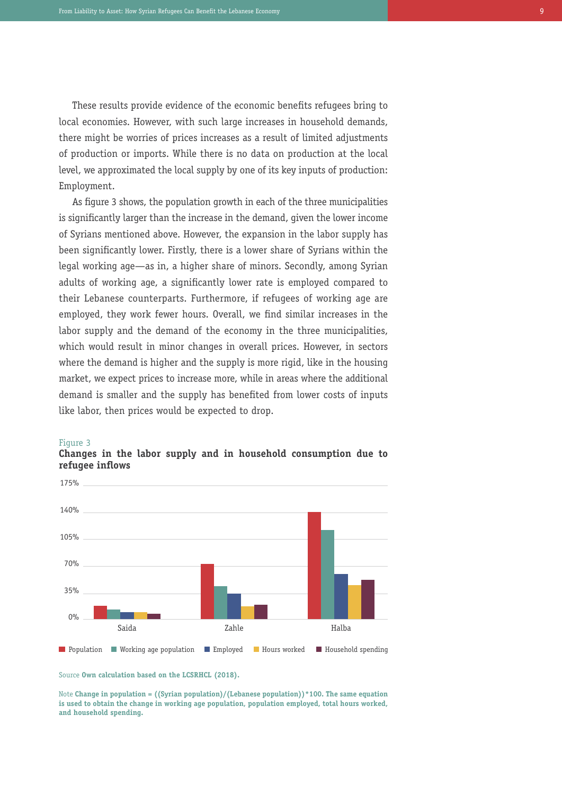These results provide evidence of the economic benefits refugees bring to local economies. However, with such large increases in household demands, there might be worries of prices increases as a result of limited adjustments of production or imports. While there is no data on production at the local level, we approximated the local supply by one of its key inputs of production: Employment.

As figure 3 shows, the population growth in each of the three municipalities is significantly larger than the increase in the demand, given the lower income of Syrians mentioned above. However, the expansion in the labor supply has been significantly lower. Firstly, there is a lower share of Syrians within the legal working age—as in, a higher share of minors. Secondly, among Syrian adults of working age, a significantly lower rate is employed compared to their Lebanese counterparts. Furthermore, if refugees of working age are employed, they work fewer hours. Overall, we find similar increases in the labor supply and the demand of the economy in the three municipalities, which would result in minor changes in overall prices. However, in sectors where the demand is higher and the supply is more rigid, like in the housing market, we expect prices to increase more, while in areas where the additional demand is smaller and the supply has benefited from lower costs of inputs like labor, then prices would be expected to drop.

#### Figure 3



## **Changes in the labor supply and in household consumption due to refugee inflows**

Note **Change in population = ((Syrian population)/(Lebanese population))\*100. The same equation is used to obtain the change in working age population, population employed, total hours worked, and household spending.**

Source **Own calculation based on the LCSRHCL (2018).**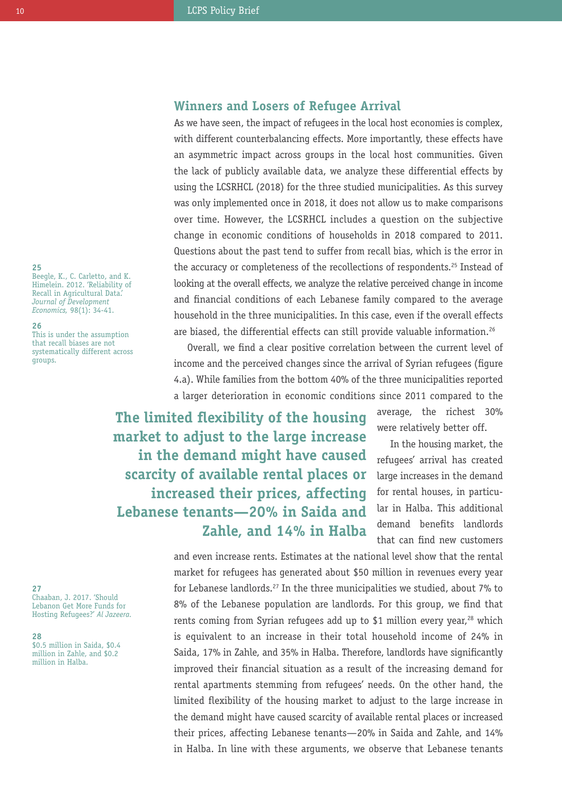# **Winners and Losers of Refugee Arrival**

As we have seen, the impact of refugees in the local host economies is complex, with different counterbalancing effects. More importantly, these effects have an asymmetric impact across groups in the local host communities. Given the lack of publicly available data, we analyze these differential effects by using the LCSRHCL (2018) for the three studied municipalities. As this survey was only implemented once in 2018, it does not allow us to make comparisons over time. However, the LCSRHCL includes a question on the subjective change in economic conditions of households in 2018 compared to 2011. Questions about the past tend to suffer from recall bias, which is the error in the accuracy or completeness of the recollections of respondents.<sup>25</sup> Instead of looking at the overall effects, we analyze the relative perceived change in income and financial conditions of each Lebanese family compared to the average household in the three municipalities. In this case, even if the overall effects are biased, the differential effects can still provide valuable information.<sup>26</sup>

Overall, we find a clear positive correlation between the current level of income and the perceived changes since the arrival of Syrian refugees (figure 4.a). While families from the bottom 40% of the three municipalities reported a larger deterioration in economic conditions since 2011 compared to the

**The limited flexibility of the housing market to adjust to the large increase in the demand might have caused scarcity of available rental places or increased their prices, affecting Lebanese tenants—20% in Saida and Zahle, and 14% in Halba**

average, the richest 30% were relatively better off.

In the housing market, the refugees' arrival has created large increases in the demand for rental houses, in particular in Halba. This additional demand benefits landlords that can find new customers

and even increase rents. Estimates at the national level show that the rental market for refugees has generated about \$50 million in revenues every year for Lebanese landlords.<sup>27</sup> In the three municipalities we studied, about 7% to 8% of the Lebanese population are landlords. For this group, we find that rents coming from Syrian refugees add up to \$1 million every year, <sup>28</sup> which is equivalent to an increase in their total household income of 24% in Saida, 17% in Zahle, and 35% in Halba. Therefore, landlords have significantly improved their financial situation as a result of the increasing demand for rental apartments stemming from refugees' needs. On the other hand, the limited flexibility of the housing market to adjust to the large increase in the demand might have caused scarcity of available rental places or increased their prices, affecting Lebanese tenants—20% in Saida and Zahle, and 14% in Halba. In line with these arguments, we observe that Lebanese tenants

#### **25**

Beegle, K., C. Carletto, and K. Himelein. 2012. 'Reliability of Recall in Agricultural Data.' *Journal of Development Economics,* 98(1): 34-41.

#### **26**

This is under the assumption that recall biases are not systematically different across groups.

**27** Chaaban, J. 2017. 'Should Lebanon Get More Funds for Hosting Refugees?' *Al Jazeera.*

#### **28**

\$0.5 million in Saida, \$0.4 million in Zahle, and \$0.2 million in Halba.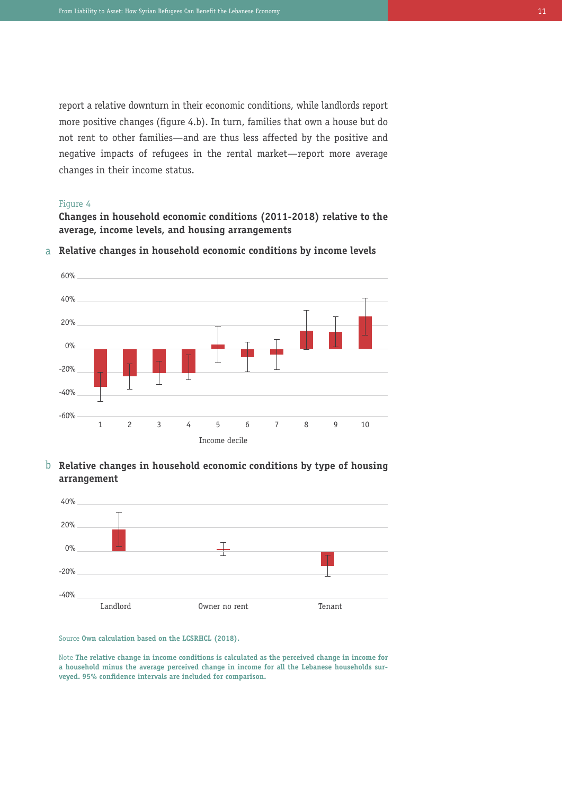report a relative downturn in their economic conditions, while landlords report more positive changes (figure 4.b). In turn, families that own a house but do not rent to other families—and are thus less affected by the positive and negative impacts of refugees in the rental market—report more average changes in their income status.

### Figure 4

**Changes in household economic conditions (2011-2018) relative to the average, income levels, and housing arrangements**



a **Relative changes in household economic conditions by income levels**

b **Relative changes in household economic conditions by type of housing arrangement**



Source **Own calculation based on the LCSRHCL (2018).**

Note **The relative change in income conditions is calculated as the perceived change in income for a household minus the average perceived change in income for all the Lebanese households surveyed. 95% confidence intervals are included for comparison.**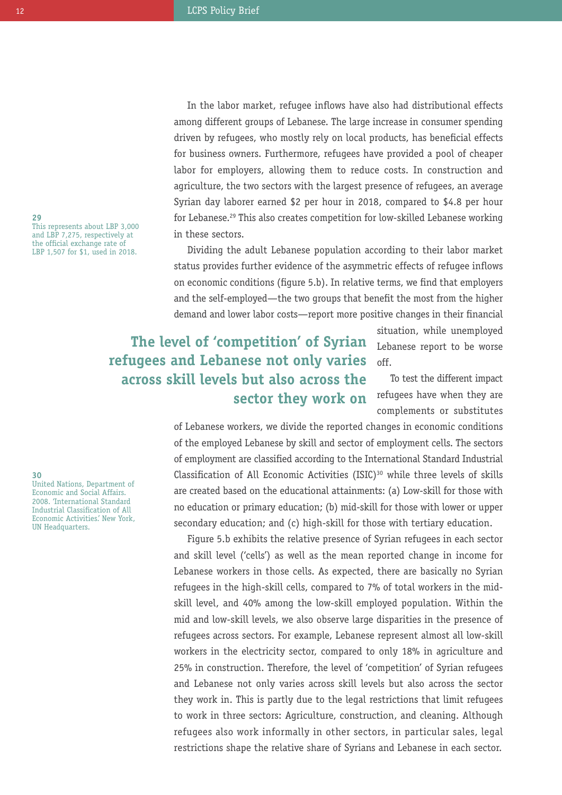In the labor market, refugee inflows have also had distributional effects among different groups of Lebanese. The large increase in consumer spending driven by refugees, who mostly rely on local products, has beneficial effects for business owners. Furthermore, refugees have provided a pool of cheaper labor for employers, allowing them to reduce costs. In construction and agriculture, the two sectors with the largest presence of refugees, an average Syrian day laborer earned \$2 per hour in 2018, compared to \$4.8 per hour for Lebanese. <sup>29</sup> This also creates competition for low-skilled Lebanese working in these sectors.

Dividing the adult Lebanese population according to their labor market status provides further evidence of the asymmetric effects of refugee inflows on economic conditions (figure 5.b). In relative terms, we find that employers and the self-employed—the two groups that benefit the most from the higher demand and lower labor costs—report more positive changes in their financial

# **The level of 'competition' of Syrian refugees and Lebanese not only varies across skill levels but also across the sector they work on**

situation, while unemployed Lebanese report to be worse off.

To test the different impact refugees have when they are complements or substitutes

of Lebanese workers, we divide the reported changes in economic conditions of the employed Lebanese by skill and sector of employment cells. The sectors of employment are classified according to the International Standard Industrial Classification of All Economic Activities (ISIC) $30$  while three levels of skills are created based on the educational attainments: (a) Low-skill for those with no education or primary education; (b) mid-skill for those with lower or upper secondary education; and (c) high-skill for those with tertiary education.

Figure 5.b exhibits the relative presence of Syrian refugees in each sector and skill level ('cells') as well as the mean reported change in income for Lebanese workers in those cells. As expected, there are basically no Syrian refugees in the high-skill cells, compared to 7% of total workers in the midskill level, and 40% among the low-skill employed population. Within the mid and low-skill levels, we also observe large disparities in the presence of refugees across sectors. For example, Lebanese represent almost all low-skill workers in the electricity sector, compared to only 18% in agriculture and 25% in construction. Therefore, the level of 'competition' of Syrian refugees and Lebanese not only varies across skill levels but also across the sector they work in. This is partly due to the legal restrictions that limit refugees to work in three sectors: Agriculture, construction, and cleaning. Although refugees also work informally in other sectors, in particular sales, legal restrictions shape the relative share of Syrians and Lebanese in each sector.

**29** This represents about LBP 3,000 and LBP 7,275, respectively at the official exchange rate of LBP 1,507 for \$1, used in 2018.

**30** United Nations, Department of Economic and Social Affairs. 2008. 'International Standard Industrial Classification of All Economic Activities.' New York, UN Headquarters.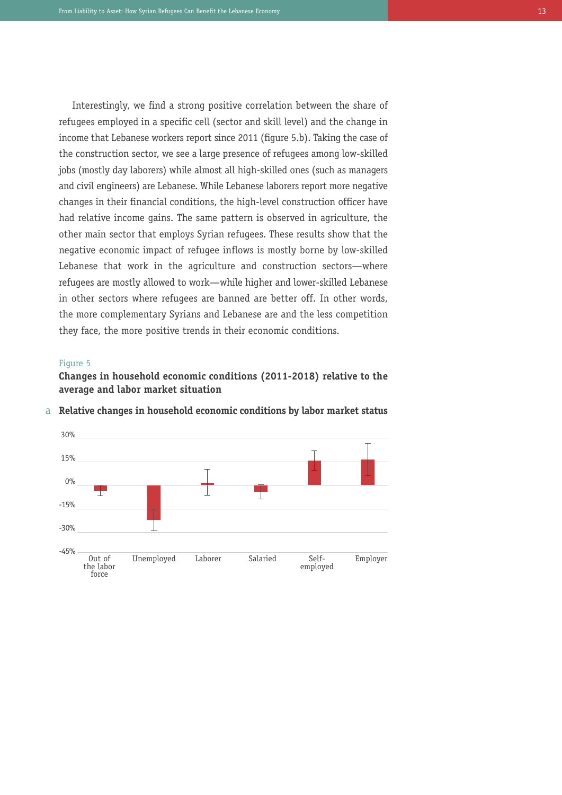Interestingly, we find a strong positive correlation between the share of refugees employed in a specific cell (sector and skill level) and the change in income that Lebanese workers report since 2011 (figure 5.b). Taking the case of the construction sector, we see a large presence of refugees among low-skilled jobs (mostly day laborers) while almost all high-skilled ones (such as managers and civil engineers) are Lebanese. While Lebanese laborers report more negative changes in their financial conditions, the high-level construction officer have had relative income gains. The same pattern is observed in agriculture, the other main sector that employs Syrian refugees. These results show that the negative economic impact of refugee inflows is mostly borne by low-skilled Lebanese that work in the agriculture and construction sectors—where refugees are mostly allowed to work—while higher and lower-skilled Lebanese in other sectors where refugees are banned are better off. In other words, the more complementary Syrians and Lebanese are and the less competition they face, the more positive trends in their economic conditions.

#### Figure 5

**Changes in household economic conditions (2011-2018) relative to the average and labor market situation**



a **Relative changes in household economic conditions by labor market status**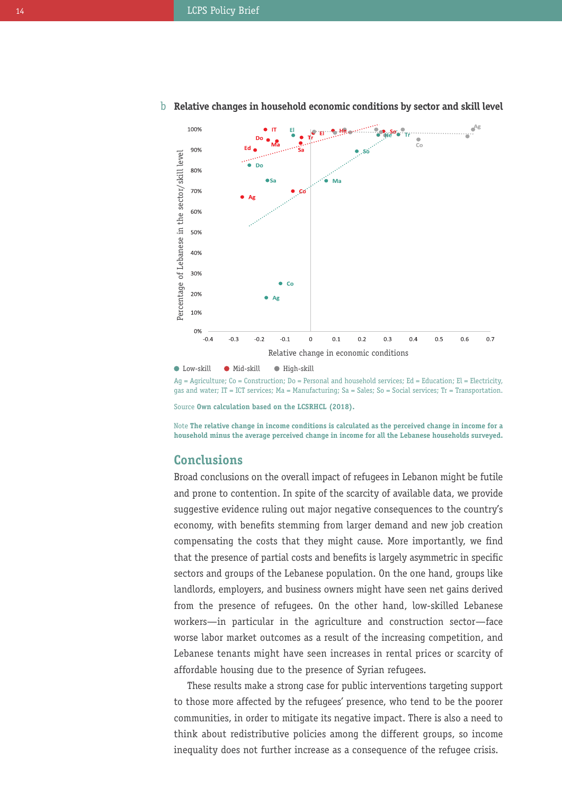

# b **Relative changes in household economic conditions by sector and skill level**

 $\bullet$  Low-skill  $\bullet$  Mid-skill  $\bullet$  High-skill

 $Aq =$  Agriculture; Co = Construction; Do = Personal and household services; Ed = Education; El = Electricity, gas and water; IT = ICT services; Ma = Manufacturing; Sa = Sales; So = Social services; Tr = Transportation.

Source **Own calculation based on the LCSRHCL (2018).**

Note **The relative change in income conditions is calculated as the perceived change in income for a household minus the average perceived change in income for all the Lebanese households surveyed.**

# **Conclusions**

Broad conclusions on the overall impact of refugees in Lebanon might be futile and prone to contention. In spite of the scarcity of available data, we provide suggestive evidence ruling out major negative consequences to the country's economy, with benefits stemming from larger demand and new job creation compensating the costs that they might cause. More importantly, we find that the presence of partial costs and benefits is largely asymmetric in specific sectors and groups of the Lebanese population. On the one hand, groups like landlords, employers, and business owners might have seen net gains derived from the presence of refugees. On the other hand, low-skilled Lebanese workers—in particular in the agriculture and construction sector—face worse labor market outcomes as a result of the increasing competition, and Lebanese tenants might have seen increases in rental prices or scarcity of affordable housing due to the presence of Syrian refugees.

These results make a strong case for public interventions targeting support to those more affected by the refugees' presence, who tend to be the poorer communities, in order to mitigate its negative impact. There is also a need to think about redistributive policies among the different groups, so income inequality does not further increase as a consequence of the refugee crisis.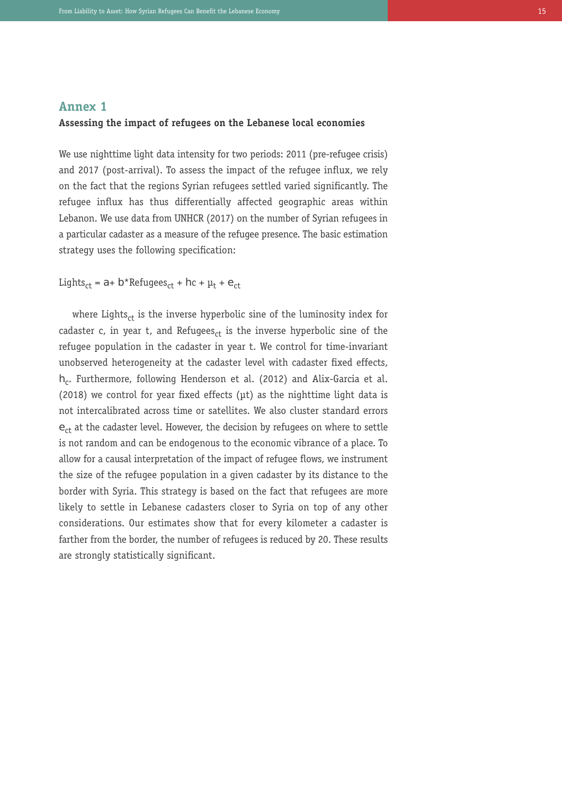### **Annex 1**

#### **Assessing the impact of refugees on the Lebanese local economies**

We use nighttime light data intensity for two periods: 2011 (pre-refugee crisis) and 2017 (post-arrival). To assess the impact of the refugee influx, we rely on the fact that the regions Syrian refugees settled varied significantly. The refugee influx has thus differentially affected geographic areas within Lebanon. We use data from UNHCR (2017) on the number of Syrian refugees in a particular cadaster as a measure of the refugee presence. The basic estimation strategy uses the following specification:

Lights<sub>ct</sub> = a+ b\*Refugees<sub>ct</sub> + hc +  $\mu$ <sub>t</sub> +  $\epsilon$ <sub>ct</sub>

where Lights $_{ct}$  is the inverse hyperbolic sine of the luminosity index for cadaster c, in year t, and Refugees<sub>ct</sub> is the inverse hyperbolic sine of the refugee population in the cadaster in year t. We control for time-invariant unobserved heterogeneity at the cadaster level with cadaster fixed effects,  $h_c$ . Furthermore, following Henderson et al. (2012) and Alix-Garcia et al. (2018) we control for year fixed effects (µt) as the nighttime light data is not intercalibrated across time or satellites. We also cluster standard errors  $e_{ct}$  at the cadaster level. However, the decision by refugees on where to settle is not random and can be endogenous to the economic vibrance of a place. To allow for a causal interpretation of the impact of refugee flows, we instrument the size of the refugee population in a given cadaster by its distance to the border with Syria. This strategy is based on the fact that refugees are more likely to settle in Lebanese cadasters closer to Syria on top of any other considerations. Our estimates show that for every kilometer a cadaster is farther from the border, the number of refugees is reduced by 20. These results are strongly statistically significant.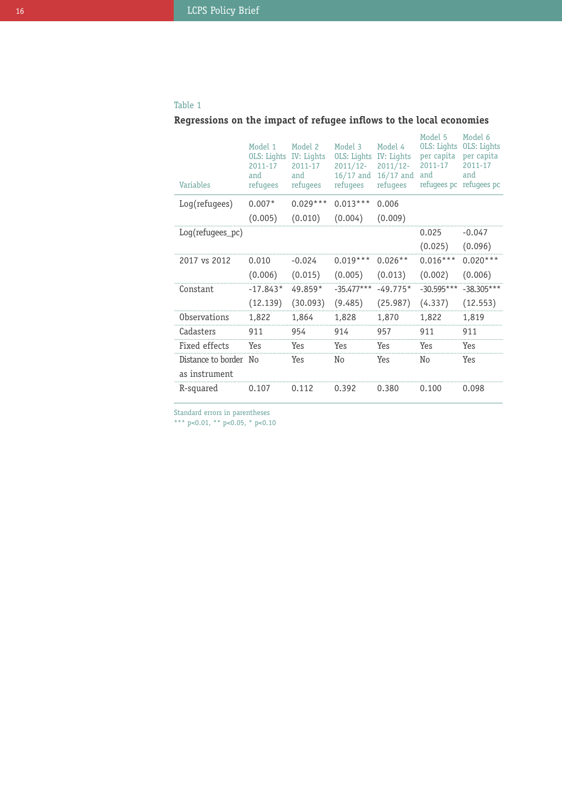## Table 1

# **Regressions on the impact of refugee inflows to the local economies**

| <b>Variables</b>    | Model 1<br>OLS: Lights<br>2011-17<br>and<br>refugees | Model 2<br>IV: Lights<br>2011-17<br>and<br>refugees | Model 3<br>OLS: Lights<br>$2011/12 -$<br>$16/17$ and<br>refugees | Model 4<br>IV: Lights<br>$2011/12-$<br>$16/17$ and<br>refugees | Model 5<br>OLS: Lights<br>per capita<br>2011-17<br>and<br>refugees pc | Model 6<br><b>OLS:</b> Lights<br>per capita<br>2011-17<br>and<br>refugees pc |
|---------------------|------------------------------------------------------|-----------------------------------------------------|------------------------------------------------------------------|----------------------------------------------------------------|-----------------------------------------------------------------------|------------------------------------------------------------------------------|
| Log(refugees)       | $0.007*$                                             | $0.029***$                                          | $0.013***$                                                       | 0.006                                                          |                                                                       |                                                                              |
|                     | (0.005)                                              | (0.010)                                             | (0.004)                                                          | (0.009)                                                        |                                                                       |                                                                              |
| $Log(refugees_pc)$  |                                                      |                                                     |                                                                  |                                                                | 0.025                                                                 | $-0.047$                                                                     |
|                     |                                                      |                                                     |                                                                  |                                                                | (0.025)                                                               | (0.096)                                                                      |
| 2017 vs 2012        | 0.010                                                | $-0.024$                                            | $0.019***$                                                       | $0.026**$                                                      | $0.016***$                                                            | $0.020***$                                                                   |
|                     | (0.006)                                              | (0.015)                                             | (0.005)                                                          | (0.013)                                                        | (0.002)                                                               | (0.006)                                                                      |
| Constant            | $-17.843*$                                           | 49.859*                                             | $-35.477***$                                                     | $-49.775*$                                                     | $-30.595***$                                                          | $-38.305***$                                                                 |
|                     | (12.139)                                             | (30.093)                                            | (9.485)                                                          | (25.987)                                                       | (4.337)                                                               | (12.553)                                                                     |
| <b>Observations</b> | 1,822                                                | 1,864                                               | 1,828                                                            | 1,870                                                          | 1,822                                                                 | 1,819                                                                        |
| Cadasters           | 911                                                  | 954                                                 | 914                                                              | 957                                                            | 911                                                                   | 911                                                                          |
| Fixed effects       | Yes                                                  | Yes                                                 | Yes                                                              | Yes                                                            | Yes                                                                   | Yes                                                                          |
| Distance to border  | No                                                   | Yes                                                 | No                                                               | Yes                                                            | No                                                                    | Yes                                                                          |
| as instrument       |                                                      |                                                     |                                                                  |                                                                |                                                                       |                                                                              |
| R-squared           | 0.107                                                | 0.112                                               | 0.392                                                            | 0.380                                                          | 0.100                                                                 | 0.098                                                                        |

Standard errors in parentheses

\*\*\* p<0.01, \*\* p<0.05, \* p<0.10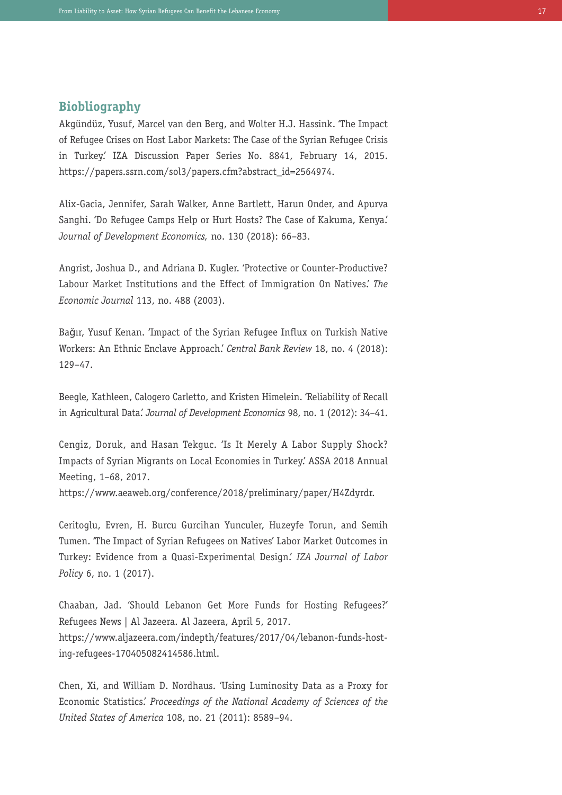## **Biobliography**

Akgündüz, Yusuf, Marcel van den Berg, and Wolter H.J. Hassink. 'The Impact of Refugee Crises on Host Labor Markets: The Case of the Syrian Refugee Crisis in Turkey.' IZA Discussion Paper Series No. 8841, February 14, 2015. https://papers.ssrn.com/sol3/papers.cfm?abstract\_id=2564974.

Alix-Gacia, Jennifer, Sarah Walker, Anne Bartlett, Harun Onder, and Apurva Sanghi. 'Do Refugee Camps Help or Hurt Hosts? The Case of Kakuma, Kenya.' *Journal of Development Economics,* no. 130 (2018): 66–83.

Angrist, Joshua D., and Adriana D. Kugler. 'Protective or Counter-Productive? Labour Market Institutions and the Effect of Immigration On Natives.' *The Economic Journal* 113, no. 488 (2003).

Bağır, Yusuf Kenan. 'Impact of the Syrian Refugee Influx on Turkish Native Workers: An Ethnic Enclave Approach.' *Central Bank Review* 18, no. 4 (2018): 129–47.

Beegle, Kathleen, Calogero Carletto, and Kristen Himelein. 'Reliability of Recall in Agricultural Data.' *Journal of Development Economics* 98, no. 1 (2012): 34–41.

Cengiz, Doruk, and Hasan Tekguc. 'Is It Merely A Labor Supply Shock? Impacts of Syrian Migrants on Local Economies in Turkey.' ASSA 2018 Annual Meeting, 1–68, 2017.

https://www.aeaweb.org/conference/2018/preliminary/paper/H4Zdyrdr.

Ceritoglu, Evren, H. Burcu Gurcihan Yunculer, Huzeyfe Torun, and Semih Tumen. 'The Impact of Syrian Refugees on Natives' Labor Market Outcomes in Turkey: Evidence from a Quasi-Experimental Design.' *IZA Journal of Labor Policy* 6, no. 1 (2017).

Chaaban, Jad. 'Should Lebanon Get More Funds for Hosting Refugees?' Refugees News | Al Jazeera. Al Jazeera, April 5, 2017. https://www.aljazeera.com/indepth/features/2017/04/lebanon-funds-hosting-refugees-170405082414586.html.

Chen, Xi, and William D. Nordhaus. 'Using Luminosity Data as a Proxy for Economic Statistics.' *Proceedings of the National Academy of Sciences of the United States of America* 108, no. 21 (2011): 8589–94.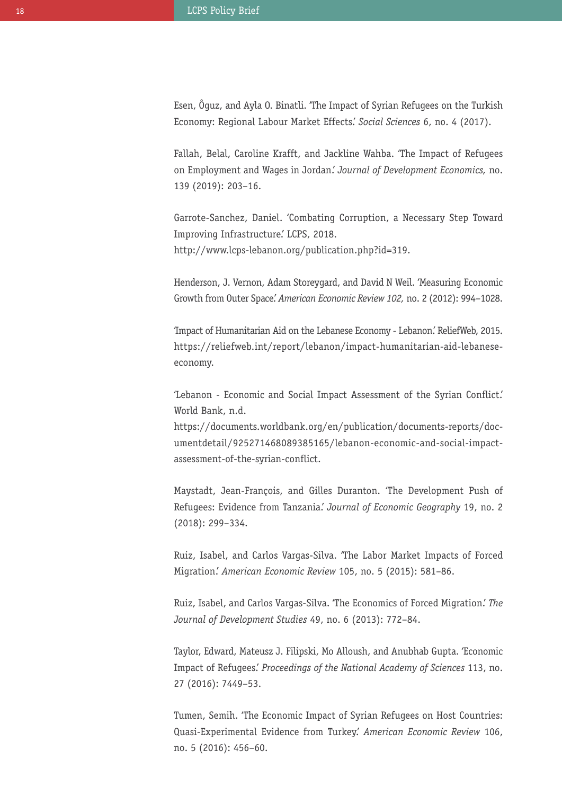Esen, Ôguz, and Ayla O. Binatli. 'The Impact of Syrian Refugees on the Turkish Economy: Regional Labour Market Effects.' *Social Sciences* 6, no. 4 (2017).

Fallah, Belal, Caroline Krafft, and Jackline Wahba. 'The Impact of Refugees on Employment and Wages in Jordan.' *Journal of Development Economics,* no. 139 (2019): 203–16.

Garrote-Sanchez, Daniel. 'Combating Corruption, a Necessary Step Toward Improving Infrastructure.' LCPS, 2018. http://www.lcps-lebanon.org/publication.php?id=319.

Henderson, J. Vernon, Adam Storeygard, and David N Weil. 'Measuring Economic Growth from Outer Space.' *American Economic Review 102,* no. 2 (2012): 994–1028.

'Impact of Humanitarian Aid on the Lebanese Economy - Lebanon.' ReliefWeb, 2015. https://reliefweb.int/report/lebanon/impact-humanitarian-aid-lebaneseeconomy.

'Lebanon - Economic and Social Impact Assessment of the Syrian Conflict.' World Bank, n.d.

https://documents.worldbank.org/en/publication/documents-reports/documentdetail/925271468089385165/lebanon-economic-and-social-impactassessment-of-the-syrian-conflict.

Maystadt, Jean-François, and Gilles Duranton. 'The Development Push of Refugees: Evidence from Tanzania.' *Journal of Economic Geography* 19, no. 2 (2018): 299–334.

Ruiz, Isabel, and Carlos Vargas-Silva. 'The Labor Market Impacts of Forced Migration.' *American Economic Review* 105, no. 5 (2015): 581–86.

Ruiz, Isabel, and Carlos Vargas-Silva. 'The Economics of Forced Migration.' *The Journal of Development Studies* 49, no. 6 (2013): 772–84.

Taylor, Edward, Mateusz J. Filipski, Mo Alloush, and Anubhab Gupta. 'Economic Impact of Refugees.' *Proceedings of the National Academy of Sciences* 113, no. 27 (2016): 7449–53.

Tumen, Semih. 'The Economic Impact of Syrian Refugees on Host Countries: Quasi-Experimental Evidence from Turkey.' *American Economic Review* 106, no. 5 (2016): 456–60.